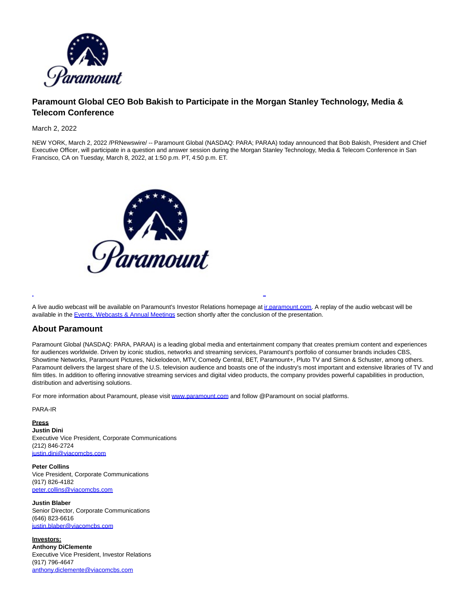

## **Paramount Global CEO Bob Bakish to Participate in the Morgan Stanley Technology, Media & Telecom Conference**

## March 2, 2022

NEW YORK, March 2, 2022 /PRNewswire/ -- Paramount Global (NASDAQ: PARA; PARAA) today announced that Bob Bakish, President and Chief Executive Officer, will participate in a question and answer session during the Morgan Stanley Technology, Media & Telecom Conference in San Francisco, CA on Tuesday, March 8, 2022, at 1:50 p.m. PT, 4:50 p.m. ET.



A live audio webcast will be available on Paramount's Investor Relations homepage at [ir.paramount.com.](https://c212.net/c/link/?t=0&l=en&o=3460777-1&h=1491443745&u=https%3A%2F%2Fir.paramount.com%2F&a=ir.paramount.com) A replay of the audio webcast will be available in the [Events, Webcasts & Annual Meetings s](https://c212.net/c/link/?t=0&l=en&o=3460777-1&h=1902940474&u=https%3A%2F%2Fir.paramount.com%2Fevents-webcasts-annual-meetings%23menu&a=Events%2C+Webcasts+%26+Annual+Meetings)ection shortly after the conclusion of the presentation.

L

## **About Paramount**

Paramount Global (NASDAQ: PARA, PARAA) is a leading global media and entertainment company that creates premium content and experiences for audiences worldwide. Driven by iconic studios, networks and streaming services, Paramount's portfolio of consumer brands includes CBS, Showtime Networks, Paramount Pictures, Nickelodeon, MTV, Comedy Central, BET, Paramount+, Pluto TV and Simon & Schuster, among others. Paramount delivers the largest share of the U.S. television audience and boasts one of the industry's most important and extensive libraries of TV and film titles. In addition to offering innovative streaming services and digital video products, the company provides powerful capabilities in production, distribution and advertising solutions.

For more information about Paramount, please visit [www.paramount.com a](https://c212.net/c/link/?t=0&l=en&o=3460777-1&h=2100944769&u=http%3A%2F%2Fwww.paramount.com%2F&a=www.paramount.com)nd follow @Paramount on social platforms.

PARA-IR

**Press Justin Dini** Executive Vice President, Corporate Communications (212) 846-2724 [justin.dini@viacomcbs.com](mailto:justin.dini@viacomcbs.com)

**Peter Collins** Vice President, Corporate Communications (917) 826-4182 [peter.collins@viacomcbs.com](mailto:peter.collins@viacomcbs.com)

**Justin Blaber** Senior Director, Corporate Communications (646) 823-6616 [justin.blaber@viacomcbs.com](mailto:justin.blaber@viacomcbs.com)

**Investors: Anthony DiClemente** Executive Vice President, Investor Relations (917) 796-4647 [anthony.diclemente@viacomcbs.com](mailto:anthony.diclemente@viacomcbs.com)